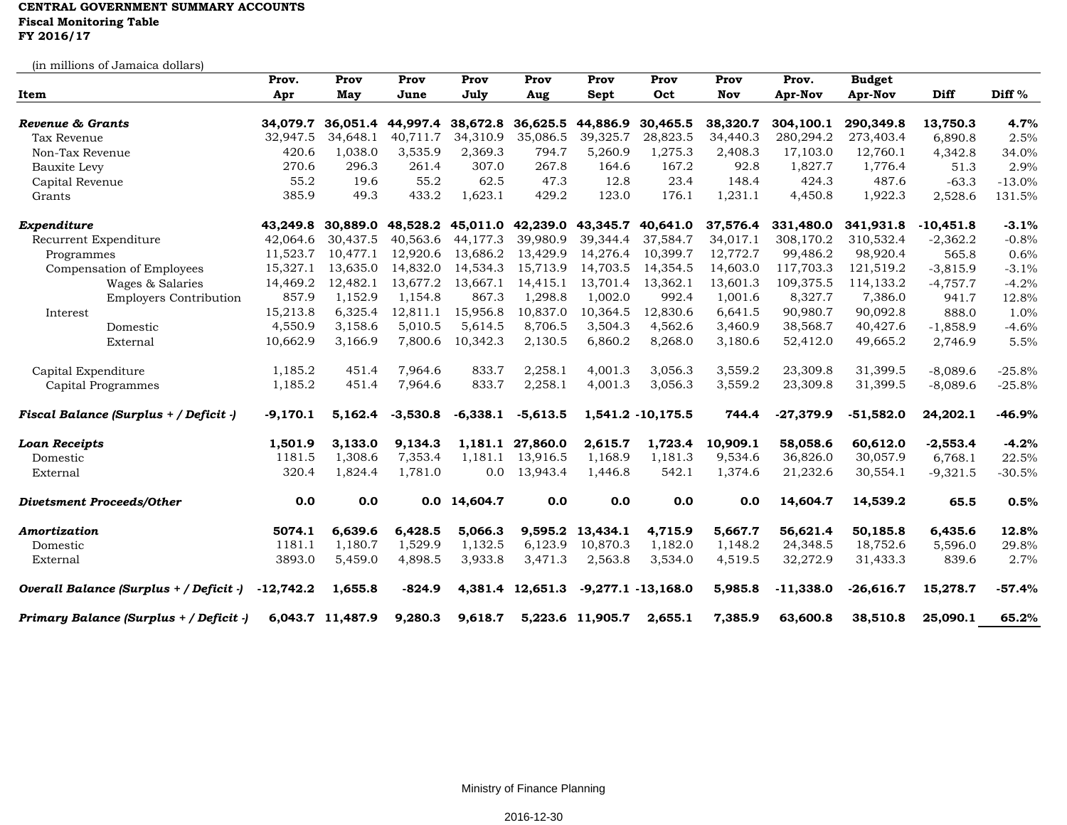## **CENTRAL GOVERNMENT SUMMARY ACCOUNTS Fiscal Monitoring Table FY 2016/17**

(in millions of Jamaica dollars)

| <u>m</u> mimono oi odinaica aonaro      | Prov.       | Prov              | Prov                       | Prov         | Prov                       | Prov             | Prov                  | Prov       | Prov.       | <b>Budget</b> |             |          |
|-----------------------------------------|-------------|-------------------|----------------------------|--------------|----------------------------|------------------|-----------------------|------------|-------------|---------------|-------------|----------|
| Item                                    | Apr         | May               | June                       | July         | Aug                        | Sept             | Oct                   | <b>Nov</b> | Apr-Nov     | Apr-Nov       | Diff        | Diff %   |
| Revenue & Grants                        |             |                   | 34,079.7 36,051.4 44,997.4 |              | 38,672.8 36,625.5          | 44,886.9         | 30,465.5              | 38,320.7   | 304,100.1   | 290,349.8     | 13,750.3    | 4.7%     |
| Tax Revenue                             | 32,947.5    | 34,648.1          | 40,711.7                   | 34,310.9     | 35,086.5                   | 39,325.7         | 28,823.5              | 34,440.3   | 280,294.2   | 273,403.4     | 6,890.8     | 2.5%     |
| Non-Tax Revenue                         | 420.6       | 1,038.0           | 3,535.9                    | 2,369.3      | 794.7                      | 5,260.9          | 1,275.3               | 2,408.3    | 17,103.0    | 12,760.1      | 4,342.8     | 34.0%    |
| Bauxite Levy                            | 270.6       | 296.3             | 261.4                      | 307.0        | 267.8                      | 164.6            | 167.2                 | 92.8       | 1,827.7     | 1,776.4       | 51.3        | 2.9%     |
| Capital Revenue                         | 55.2        | 19.6              | 55.2                       | 62.5         | 47.3                       | 12.8             | 23.4                  | 148.4      | 424.3       | 487.6         | $-63.3$     | $-13.0%$ |
| Grants                                  | 385.9       | 49.3              | 433.2                      | 1,623.1      | 429.2                      | 123.0            | 176.1                 | 1,231.1    | 4,450.8     | 1,922.3       | 2,528.6     | 131.5%   |
| Expenditure                             |             | 43,249.8 30,889.0 |                            |              | 48,528.2 45,011.0 42,239.0 |                  | 43,345.7 40,641.0     | 37,576.4   | 331,480.0   | 341,931.8     | $-10,451.8$ | $-3.1%$  |
| Recurrent Expenditure                   | 42,064.6    | 30,437.5          | 40,563.6                   | 44,177.3     | 39,980.9                   | 39,344.4         | 37,584.7              | 34,017.1   | 308,170.2   | 310,532.4     | $-2,362.2$  | $-0.8%$  |
| Programmes                              | 11,523.7    | 10,477.1          | 12,920.6                   | 13,686.2     | 13,429.9                   | 14,276.4         | 10,399.7              | 12,772.7   | 99,486.2    | 98,920.4      | 565.8       | 0.6%     |
| Compensation of Employees               | 15,327.1    | 13,635.0          | 14,832.0                   | 14,534.3     | 15,713.9                   | 14,703.5         | 14,354.5              | 14,603.0   | 117,703.3   | 121,519.2     | $-3,815.9$  | $-3.1%$  |
| Wages & Salaries                        | 14,469.2    | 12,482.1          | 13,677.2                   | 13,667.1     | 14,415.1                   | 13,701.4         | 13,362.1              | 13,601.3   | 109,375.5   | 114,133.2     | $-4,757.7$  | $-4.2%$  |
| <b>Employers Contribution</b>           | 857.9       | 1,152.9           | 1,154.8                    | 867.3        | 1,298.8                    | 1,002.0          | 992.4                 | 1.001.6    | 8,327.7     | 7,386.0       | 941.7       | 12.8%    |
| Interest                                | 15,213.8    | 6,325.4           | 12,811.1                   | 15,956.8     | 10,837.0                   | 10,364.5         | 12,830.6              | 6,641.5    | 90,980.7    | 90,092.8      | 888.0       | 1.0%     |
| Domestic                                | 4,550.9     | 3,158.6           | 5,010.5                    | 5,614.5      | 8,706.5                    | 3,504.3          | 4,562.6               | 3,460.9    | 38,568.7    | 40,427.6      | $-1,858.9$  | $-4.6%$  |
| External                                | 10,662.9    | 3,166.9           | 7,800.6                    | 10,342.3     | 2,130.5                    | 6,860.2          | 8,268.0               | 3,180.6    | 52,412.0    | 49,665.2      | 2,746.9     | 5.5%     |
| Capital Expenditure                     | 1,185.2     | 451.4             | 7,964.6                    | 833.7        | 2,258.1                    | 4,001.3          | 3,056.3               | 3,559.2    | 23,309.8    | 31,399.5      | $-8,089.6$  | $-25.8%$ |
| Capital Programmes                      | 1,185.2     | 451.4             | 7,964.6                    | 833.7        | 2,258.1                    | 4,001.3          | 3,056.3               | 3,559.2    | 23,309.8    | 31,399.5      | $-8,089.6$  | $-25.8%$ |
| Fiscal Balance (Surplus + / Deficit -)  | $-9,170.1$  | 5,162.4           | $-3,530.8$                 | $-6,338.1$   | $-5,613.5$                 |                  | 1,541.2 -10,175.5     | 744.4      | $-27,379.9$ | $-51,582.0$   | 24,202.1    | $-46.9%$ |
| <b>Loan Receipts</b>                    | 1,501.9     | 3,133.0           | 9,134.3                    |              | 1,181.1 27,860.0           | 2,615.7          | 1,723.4               | 10,909.1   | 58,058.6    | 60,612.0      | $-2,553.4$  | $-4.2%$  |
| Domestic                                | 1181.5      | 1,308.6           | 7,353.4                    | 1,181.1      | 13,916.5                   | 1,168.9          | 1,181.3               | 9,534.6    | 36,826.0    | 30,057.9      | 6,768.1     | 22.5%    |
| External                                | 320.4       | 1,824.4           | 1,781.0                    | 0.0          | 13,943.4                   | 1,446.8          | 542.1                 | 1,374.6    | 21,232.6    | 30,554.1      | $-9,321.5$  | $-30.5%$ |
| <b>Divetsment Proceeds/Other</b>        | 0.0         | 0.0               |                            | 0.0 14,604.7 | 0.0                        | 0.0              | 0.0                   | 0.0        | 14,604.7    | 14,539.2      | 65.5        | 0.5%     |
| Amortization                            | 5074.1      | 6,639.6           | 6,428.5                    | 5,066.3      | 9,595.2                    | 13,434.1         | 4,715.9               | 5,667.7    | 56,621.4    | 50,185.8      | 6,435.6     | 12.8%    |
| Domestic                                | 1181.1      | 1,180.7           | 1,529.9                    | 1,132.5      | 6,123.9                    | 10,870.3         | 1,182.0               | 1,148.2    | 24,348.5    | 18,752.6      | 5,596.0     | 29.8%    |
| External                                | 3893.0      | 5,459.0           | 4,898.5                    | 3,933.8      | 3,471.3                    | 2,563.8          | 3,534.0               | 4,519.5    | 32,272.9    | 31,433.3      | 839.6       | 2.7%     |
| Overall Balance (Surplus + / Deficit -) | $-12,742.2$ | 1,655.8           | $-824.9$                   |              | 4,381.4 12,651.3           |                  | $-9,277.1 - 13,168.0$ | 5,985.8    | $-11,338.0$ | $-26,616.7$   | 15,278.7    | $-57.4%$ |
| Primary Balance (Surplus + / Deficit -) |             | 6,043.7 11,487.9  | 9,280.3                    | 9,618.7      |                            | 5,223.6 11,905.7 | 2,655.1               | 7,385.9    | 63,600.8    | 38,510.8      | 25,090.1    | 65.2%    |